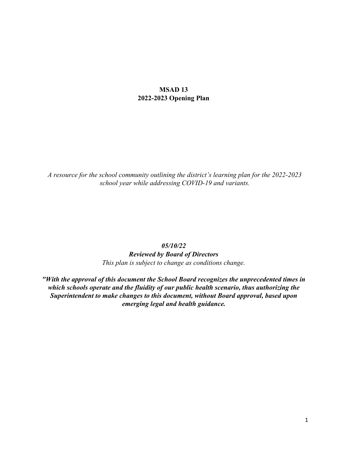### **MSAD 13 2022-2023 Opening Plan**

*A resource for the school community outlining the district's learning plan for the 2022-2023 school year while addressing COVID-19 and variants.* 

#### *05/10/22*

*Reviewed by Board of Directors This plan is subject to change as conditions change.* 

*"With the approval of this document the School Board recognizes the unprecedented times in which schools operate and the fluidity of our public health scenario, thus authorizing the Superintendent to make changes to this document, without Board approval, based upon emerging legal and health guidance.*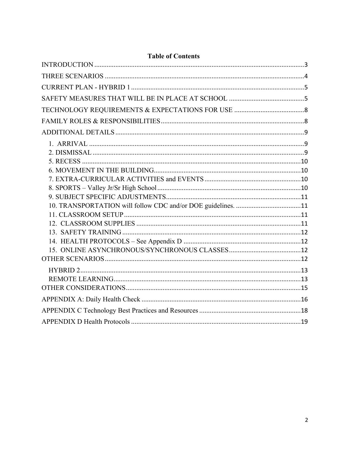## **Table of Contents**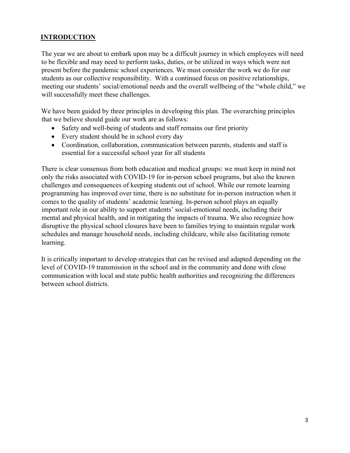## <span id="page-2-0"></span>**INTRODUCTION**

The year we are about to embark upon may be a difficult journey in which employees will need to be flexible and may need to perform tasks, duties, or be utilized in ways which were not present before the pandemic school experiences. We must consider the work we do for our students as our collective responsibility. With a continued focus on positive relationships, meeting our students' social/emotional needs and the overall wellbeing of the "whole child," we will successfully meet these challenges.

We have been guided by three principles in developing this plan. The overarching principles that we believe should guide our work are as follows:

- Safety and well-being of students and staff remains our first priority
- Every student should be in school every day
- Coordination, collaboration, communication between parents, students and staff is essential for a successful school year for all students

There is clear consensus from both education and medical groups: we must keep in mind not only the risks associated with COVID-19 for in-person school programs, but also the known challenges and consequences of keeping students out of school. While our remote learning programming has improved over time, there is no substitute for in-person instruction when it comes to the quality of students' academic learning. In-person school plays an equally important role in our ability to support students' social-emotional needs, including their mental and physical health, and in mitigating the impacts of trauma. We also recognize how disruptive the physical school closures have been to families trying to maintain regular work schedules and manage household needs, including childcare, while also facilitating remote learning.

It is critically important to develop strategies that can be revised and adapted depending on the level of COVID-19 transmission in the school and in the community and done with close communication with local and state public health authorities and recognizing the differences between school districts.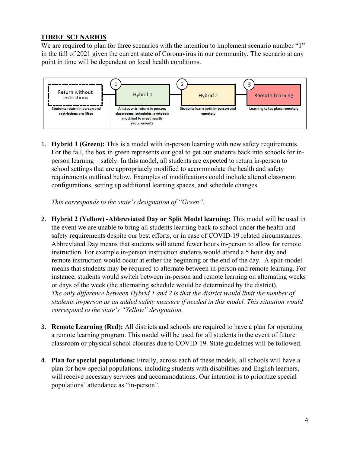## <span id="page-3-0"></span>**THREE SCENARIOS**

We are required to plan for three scenarios with the intention to implement scenario number "1" in the fall of 2021 given the current state of Coronavirus in our community. The scenario at any point in time will be dependent on local health conditions.



1. **Hybrid 1 (Green):** This is a model with in-person learning with new safety requirements. For the fall, the box in green represents our goal to get our students back into schools for inperson learning—safely. In this model, all students are expected to return in-person to school settings that are appropriately modified to accommodate the health and safety requirements outlined below. Examples of modifications could include altered classroom configurations, setting up additional learning spaces, and schedule changes.

*This corresponds to the state's designation of "Green".* 

- 2. **Hybrid 2 (Yellow) -Abbreviated Day or Split Model learning:** This model will be used in the event we are unable to bring all students learning back to school under the health and safety requirements despite our best efforts, or in case of COVID-19 related circumstances. Abbreviated Day means that students will attend fewer hours in-person to allow for remote instruction. For example in-person instruction students would attend a 5 hour day and remote instruction would occur at either the beginning or the end of the day. A split-model means that students may be required to alternate between in-person and remote learning. For instance, students would switch between in-person and remote learning on alternating weeks or days of the week (the alternating schedule would be determined by the district). *The only difference between Hybrid 1 and 2 is that the district would limit the number of students in-person as an added safety measure if needed in this model. This situation would correspond to the state's "Yellow" designation.*
- 3. **Remote Learning (Red):** All districts and schools are required to have a plan for operating a remote learning program. This model will be used for all students in the event of future classroom or physical school closures due to COVID-19. State guidelines will be followed.
- 4. **Plan for special populations:** Finally, across each of these models, all schools will have a plan for how special populations, including students with disabilities and English learners, will receive necessary services and accommodations. Our intention is to prioritize special populations' attendance as "in-person".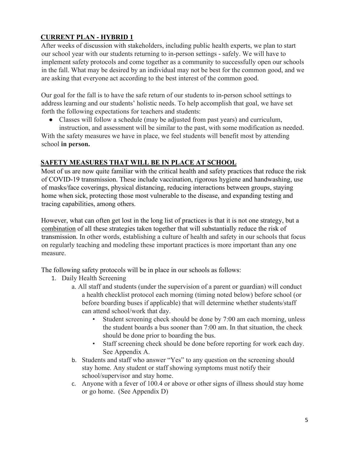# <span id="page-4-0"></span>**CURRENT PLAN - HYBRID 1**

After weeks of discussion with stakeholders, including public health experts, we plan to start our school year with our students returning to in-person settings - safely. We will have to implement safety protocols and come together as a community to successfully open our schools in the fall. What may be desired by an individual may not be best for the common good, and we are asking that everyone act according to the best interest of the common good.

Our goal for the fall is to have the safe return of our students to in-person school settings to address learning and our students' holistic needs. To help accomplish that goal, we have set forth the following expectations for teachers and students:

● Classes will follow a schedule (may be adjusted from past years) and curriculum,

instruction, and assessment will be similar to the past, with some modification as needed. With the safety measures we have in place, we feel students will benefit most by attending school **in person.**

## <span id="page-4-1"></span>**SAFETY MEASURES THAT WILL BE IN PLACE AT SCHOOL**

Most of us are now quite familiar with the critical health and safety practices that reduce the risk of COVID-19 transmission. These include vaccination, rigorous hygiene and handwashing, use of masks/face coverings, physical distancing, reducing interactions between groups, staying home when sick, protecting those most vulnerable to the disease, and expanding testing and tracing capabilities, among others.

However, what can often get lost in the long list of practices is that it is not one strategy, but a combination of all these strategies taken together that will substantially reduce the risk of transmission. In other words, establishing a culture of health and safety in our schools that focus on regularly teaching and modeling these important practices is more important than any one measure.

The following safety protocols will be in place in our schools as follows:

- 1. Daily Health Screening
	- a. All staff and students (under the supervision of a parent or guardian) will conduct a health checklist protocol each morning (timing noted below) before school (or before boarding buses if applicable) that will determine whether students/staff can attend school/work that day.
		- Student screening check should be done by 7:00 am each morning, unless the student boards a bus sooner than 7:00 am. In that situation, the check should be done prior to boarding the bus.
		- Staff screening check should be done before reporting for work each day. See Appendix A.
	- b. Students and staff who answer "Yes" to any question on the screening should stay home. Any student or staff showing symptoms must notify their school/supervisor and stay home.
	- c. Anyone with a fever of 100.4 or above or other signs of illness should stay home or go home. (See Appendix D)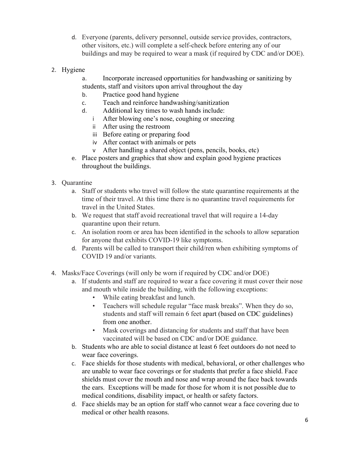- d. Everyone (parents, delivery personnel, outside service provides, contractors, other visitors, etc.) will complete a self-check before entering any of our buildings and may be required to wear a mask (if required by CDC and/or DOE).
- 2. Hygiene
	- a. Incorporate increased opportunities for handwashing or sanitizing by students, staff and visitors upon arrival throughout the day
	- b. Practice good hand hygiene
	- c. Teach and reinforce handwashing/sanitization
	- d. Additional key times to wash hands include:
		- i After blowing one's nose, coughing or sneezing
		- ii After using the restroom
		- iii Before eating or preparing food
		- iv After contact with animals or pets
		- v After handling a shared object (pens, pencils, books, etc)
	- e. Place posters and graphics that show and explain good hygiene practices throughout the buildings.
- 3. Quarantine
	- a. Staff or students who travel will follow the state quarantine requirements at the time of their travel. At this time there is no quarantine travel requirements for travel in the United States.
	- b. We request that staff avoid recreational travel that will require a 14-day quarantine upon their return.
	- c. An isolation room or area has been identified in the schools to allow separation for anyone that exhibits COVID-19 like symptoms.
	- d. Parents will be called to transport their child/ren when exhibiting symptoms of COVID 19 and/or variants.
- 4. Masks/Face Coverings (will only be worn if required by CDC and/or DOE)
	- a. If students and staff are required to wear a face covering it must cover their nose and mouth while inside the building, with the following exceptions:
		- While eating breakfast and lunch.
		- Teachers will schedule regular "face mask breaks". When they do so, students and staff will remain 6 feet apart (based on CDC guidelines) from one another.
		- Mask coverings and distancing for students and staff that have been vaccinated will be based on CDC and/or DOE guidance.
	- b. Students who are able to social distance at least 6 feet outdoors do not need to wear face coverings.
	- c. Face shields for those students with medical, behavioral, or other challenges who are unable to wear face coverings or for students that prefer a face shield. Face shields must cover the mouth and nose and wrap around the face back towards the ears. Exceptions will be made for those for whom it is not possible due to medical conditions, disability impact, or health or safety factors.
	- d. Face shields may be an option for staff who cannot wear a face covering due to medical or other health reasons.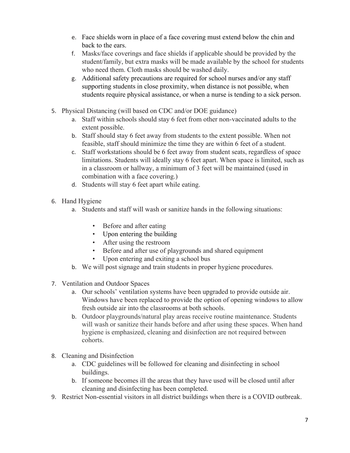- e. Face shields worn in place of a face covering must extend below the chin and back to the ears.
- f. Masks/face coverings and face shields if applicable should be provided by the student/family, but extra masks will be made available by the school for students who need them. Cloth masks should be washed daily.
- g. Additional safety precautions are required for school nurses and/or any staff supporting students in close proximity, when distance is not possible, when students require physical assistance, or when a nurse is tending to a sick person.
- 5. Physical Distancing (will based on CDC and/or DOE guidance)
	- a. Staff within schools should stay 6 feet from other non-vaccinated adults to the extent possible.
	- b. Staff should stay 6 feet away from students to the extent possible. When not feasible, staff should minimize the time they are within 6 feet of a student.
	- c. Staff workstations should be 6 feet away from student seats, regardless of space limitations. Students will ideally stay 6 feet apart. When space is limited, such as in a classroom or hallway, a minimum of 3 feet will be maintained (used in combination with a face covering.)
	- d. Students will stay 6 feet apart while eating.
- 6. Hand Hygiene
	- a. Students and staff will wash or sanitize hands in the following situations:
		- Before and after eating
		- Upon entering the building
		- After using the restroom
		- Before and after use of playgrounds and shared equipment
		- Upon entering and exiting a school bus
	- b. We will post signage and train students in proper hygiene procedures.
- 7. Ventilation and Outdoor Spaces
	- a. Our schools' ventilation systems have been upgraded to provide outside air. Windows have been replaced to provide the option of opening windows to allow fresh outside air into the classrooms at both schools.
	- b. Outdoor playgrounds/natural play areas receive routine maintenance. Students will wash or sanitize their hands before and after using these spaces. When hand hygiene is emphasized, cleaning and disinfection are not required between cohorts.
- 8. Cleaning and Disinfection
	- a. CDC guidelines will be followed for cleaning and disinfecting in school buildings.
	- b. If someone becomes ill the areas that they have used will be closed until after cleaning and disinfecting has been completed.
- 9. Restrict Non-essential visitors in all district buildings when there is a COVID outbreak.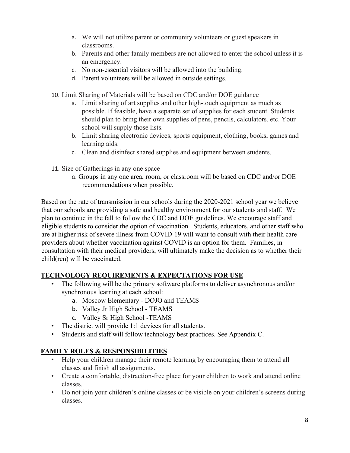- a. We will not utilize parent or community volunteers or guest speakers in classrooms.
- b. Parents and other family members are not allowed to enter the school unless it is an emergency.
- c. No non-essential visitors will be allowed into the building.
- d. Parent volunteers will be allowed in outside settings.
- 10. Limit Sharing of Materials will be based on CDC and/or DOE guidance
	- a. Limit sharing of art supplies and other high-touch equipment as much as possible. If feasible, have a separate set of supplies for each student. Students should plan to bring their own supplies of pens, pencils, calculators, etc. Your school will supply those lists.
	- b. Limit sharing electronic devices, sports equipment, clothing, books, games and learning aids.
	- c. Clean and disinfect shared supplies and equipment between students.
- 11. Size of Gatherings in any one space
	- a. Groups in any one area, room, or classroom will be based on CDC and/or DOE recommendations when possible.

Based on the rate of transmission in our schools during the 2020-2021 school year we believe that our schools are providing a safe and healthy environment for our students and staff. We plan to continue in the fall to follow the CDC and DOE guidelines. We encourage staff and eligible students to consider the option of vaccination. Students, educators, and other staff who are at higher risk of severe illness from COVID-19 will want to consult with their health care providers about whether vaccination against COVID is an option for them. Families, in consultation with their medical providers, will ultimately make the decision as to whether their child(ren) will be vaccinated.

## <span id="page-7-0"></span>**TECHNOLOGY REQUIREMENTS & EXPECTATIONS FOR USE**

- The following will be the primary software platforms to deliver asynchronous and/or synchronous learning at each school:
	- a. Moscow Elementary DOJO and TEAMS
	- b. Valley Jr High School TEAMS
	- c. Valley Sr High School -TEAMS
- The district will provide 1:1 devices for all students.
- Students and staff will follow technology best practices. See Appendix C.

# <span id="page-7-1"></span>**FAMILY ROLES & RESPONSIBILITIES**

- Help your children manage their remote learning by encouraging them to attend all classes and finish all assignments.
- Create a comfortable, distraction-free place for your children to work and attend online classes.
- Do not join your children's online classes or be visible on your children's screens during classes.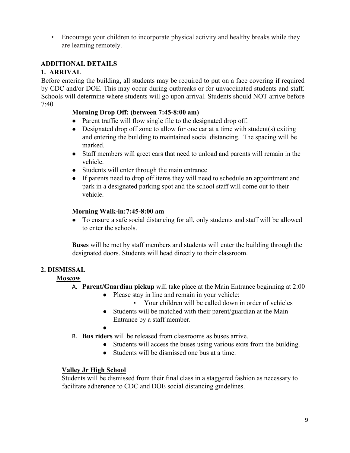• Encourage your children to incorporate physical activity and healthy breaks while they are learning remotely.

## <span id="page-8-0"></span>**ADDITIONAL DETAILS**

### <span id="page-8-1"></span>**1. ARRIVAL**

Before entering the building, all students may be required to put on a face covering if required by CDC and/or DOE. This may occur during outbreaks or for unvaccinated students and staff. Schools will determine where students will go upon arrival. Students should NOT arrive before 7:40

## **Morning Drop Off: (between 7:45-8:00 am)**

- Parent traffic will flow single file to the designated drop off.
- Designated drop off zone to allow for one car at a time with student(s) exiting and entering the building to maintained social distancing. The spacing will be marked.
- Staff members will greet cars that need to unload and parents will remain in the vehicle.
- Students will enter through the main entrance
- If parents need to drop off items they will need to schedule an appointment and park in a designated parking spot and the school staff will come out to their vehicle.

## **Morning Walk-in:7:45-8:00 am**

● To ensure a safe social distancing for all, only students and staff will be allowed to enter the schools.

**Buses** will be met by staff members and students will enter the building through the designated doors. Students will head directly to their classroom.

## <span id="page-8-2"></span>**2. DISMISSAL**

## **Moscow**

- A. **Parent/Guardian pickup** will take place at the Main Entrance beginning at 2:00
	- Please stay in line and remain in your vehicle:
		- Your children will be called down in order of vehicles
	- Students will be matched with their parent/guardian at the Main Entrance by a staff member.
	- ●
- B. **Bus riders** will be released from classrooms as buses arrive.
	- Students will access the buses using various exits from the building.
	- Students will be dismissed one bus at a time.

#### **Valley Jr High School**

Students will be dismissed from their final class in a staggered fashion as necessary to facilitate adherence to CDC and DOE social distancing guidelines.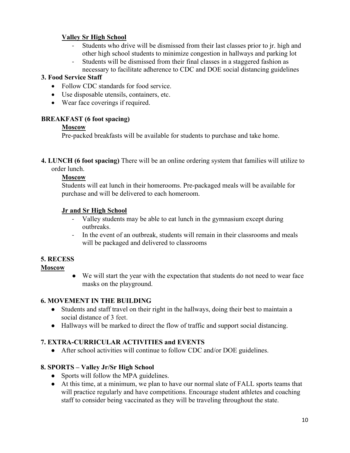### **Valley Sr High School**

- Students who drive will be dismissed from their last classes prior to jr. high and other high school students to minimize congestion in hallways and parking lot
- Students will be dismissed from their final classes in a staggered fashion as necessary to facilitate adherence to CDC and DOE social distancing guidelines

## **3. Food Service Staff**

- Follow CDC standards for food service.
- Use disposable utensils, containers, etc.
- Wear face coverings if required.

## **BREAKFAST (6 foot spacing)**

## **Moscow**

Pre-packed breakfasts will be available for students to purchase and take home.

**4. LUNCH (6 foot spacing)** There will be an online ordering system that families will utilize to order lunch.

## **Moscow**

Students will eat lunch in their homerooms. Pre-packaged meals will be available for purchase and will be delivered to each homeroom.

## **Jr and Sr High School**

- Valley students may be able to eat lunch in the gymnasium except during outbreaks.
- In the event of an outbreak, students will remain in their classrooms and meals will be packaged and delivered to classrooms

## <span id="page-9-0"></span>**5. RECESS**

## **Moscow**

● We will start the year with the expectation that students do not need to wear face masks on the playground.

## <span id="page-9-1"></span>**6. MOVEMENT IN THE BUILDING**

- Students and staff travel on their right in the hallways, doing their best to maintain a social distance of 3 feet.
- Hallways will be marked to direct the flow of traffic and support social distancing.

## <span id="page-9-2"></span>**7. EXTRA-CURRICULAR ACTIVITIES and EVENTS**

● After school activities will continue to follow CDC and/or DOE guidelines.

## <span id="page-9-3"></span>**8. SPORTS – Valley Jr/Sr High School**

- Sports will follow the MPA guidelines.
- At this time, at a minimum, we plan to have our normal slate of FALL sports teams that will practice regularly and have competitions. Encourage student athletes and coaching staff to consider being vaccinated as they will be traveling throughout the state.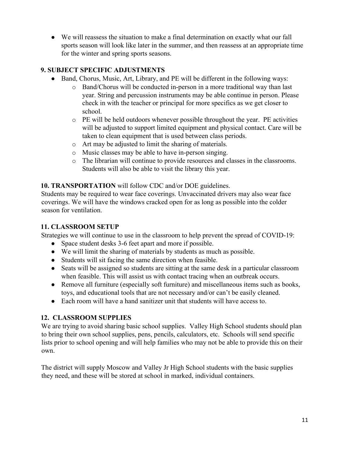• We will reassess the situation to make a final determination on exactly what our fall sports season will look like later in the summer, and then reassess at an appropriate time for the winter and spring sports seasons.

## <span id="page-10-0"></span>**9. SUBJECT SPECIFIC ADJUSTMENTS**

- Band, Chorus, Music, Art, Library, and PE will be different in the following ways:
	- o Band/Chorus will be conducted in-person in a more traditional way than last year. String and percussion instruments may be able continue in person. Please check in with the teacher or principal for more specifics as we get closer to school.
	- o PE will be held outdoors whenever possible throughout the year. PE activities will be adjusted to support limited equipment and physical contact. Care will be taken to clean equipment that is used between class periods.
	- o Art may be adjusted to limit the sharing of materials.
	- o Music classes may be able to have in-person singing.
	- o The librarian will continue to provide resources and classes in the classrooms. Students will also be able to visit the library this year.

## <span id="page-10-1"></span>**10. TRANSPORTATION** will follow CDC and/or DOE guidelines.

Students may be required to wear face coverings. Unvaccinated drivers may also wear face coverings. We will have the windows cracked open for as long as possible into the colder season for ventilation.

### <span id="page-10-2"></span>**11. CLASSROOM SETUP**

Strategies we will continue to use in the classroom to help prevent the spread of COVID-19:

- Space student desks 3-6 feet apart and more if possible.
- We will limit the sharing of materials by students as much as possible.
- Students will sit facing the same direction when feasible.
- Seats will be assigned so students are sitting at the same desk in a particular classroom when feasible. This will assist us with contact tracing when an outbreak occurs.
- Remove all furniture (especially soft furniture) and miscellaneous items such as books, toys, and educational tools that are not necessary and/or can't be easily cleaned.
- Each room will have a hand sanitizer unit that students will have access to.

## <span id="page-10-3"></span>**12. CLASSROOM SUPPLIES**

We are trying to avoid sharing basic school supplies. Valley High School students should plan to bring their own school supplies, pens, pencils, calculators, etc. Schools will send specific lists prior to school opening and will help families who may not be able to provide this on their own.

The district will supply Moscow and Valley Jr High School students with the basic supplies they need, and these will be stored at school in marked, individual containers.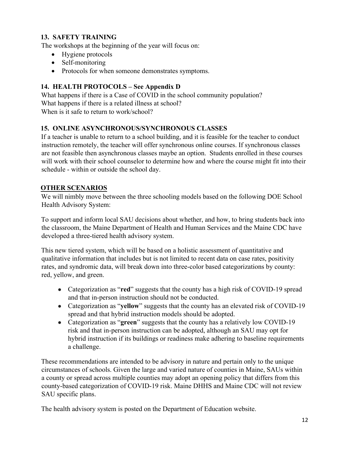## <span id="page-11-0"></span>**13. SAFETY TRAINING**

The workshops at the beginning of the year will focus on:

- Hygiene protocols
- Self-monitoring
- Protocols for when someone demonstrates symptoms.

## <span id="page-11-1"></span>**14. HEALTH PROTOCOLS – See Appendix D**

What happens if there is a Case of COVID in the school community population? What happens if there is a related illness at school? When is it safe to return to work/school?

#### <span id="page-11-2"></span>**15. ONLINE ASYNCHRONOUS/SYNCHRONOUS CLASSES**

If a teacher is unable to return to a school building, and it is feasible for the teacher to conduct instruction remotely, the teacher will offer synchronous online courses. If synchronous classes are not feasible then asynchronous classes maybe an option. Students enrolled in these courses will work with their school counselor to determine how and where the course might fit into their schedule - within or outside the school day.

#### <span id="page-11-3"></span>**OTHER SCENARIOS**

We will nimbly move between the three schooling models based on the following DOE School Health Advisory System:

To support and inform local SAU decisions about whether, and how, to bring students back into the classroom, the Maine Department of Health and Human Services and the Maine CDC have developed a three-tiered health advisory system.

This new tiered system, which will be based on a holistic assessment of quantitative and qualitative information that includes but is not limited to recent data on case rates, positivity rates, and syndromic data, will break down into three-color based categorizations by county: red, yellow, and green.

- Categorization as "**red**" suggests that the county has a high risk of COVID-19 spread and that in-person instruction should not be conducted.
- Categorization as "**yellow**" suggests that the county has an elevated risk of COVID-19 spread and that hybrid instruction models should be adopted.
- Categorization as "**green**" suggests that the county has a relatively low COVID-19 risk and that in-person instruction can be adopted, although an SAU may opt for hybrid instruction if its buildings or readiness make adhering to baseline requirements a challenge.

These recommendations are intended to be advisory in nature and pertain only to the unique circumstances of schools. Given the large and varied nature of counties in Maine, SAUs within a county or spread across multiple counties may adopt an opening policy that differs from this county-based categorization of COVID-19 risk. Maine DHHS and Maine CDC will not review SAU specific plans.

The health advisory system is posted on the Department of Education website.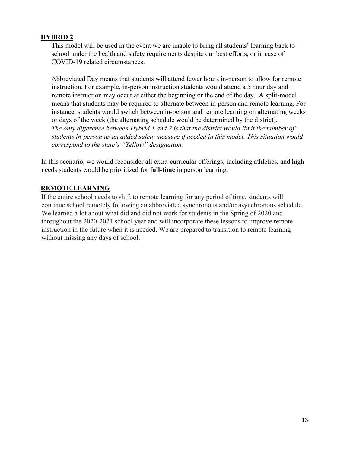#### <span id="page-12-0"></span>**HYBRID 2**

This model will be used in the event we are unable to bring all students' learning back to school under the health and safety requirements despite our best efforts, or in case of COVID-19 related circumstances.

Abbreviated Day means that students will attend fewer hours in-person to allow for remote instruction. For example, in-person instruction students would attend a 5 hour day and remote instruction may occur at either the beginning or the end of the day. A split-model means that students may be required to alternate between in-person and remote learning. For instance, students would switch between in-person and remote learning on alternating weeks or days of the week (the alternating schedule would be determined by the district). *The only difference between Hybrid 1 and 2 is that the district would limit the number of students in-person as an added safety measure if needed in this model. This situation would correspond to the state's "Yellow" designation.* 

In this scenario, we would reconsider all extra-curricular offerings, including athletics, and high needs students would be prioritized for **full-time** in person learning.

## <span id="page-12-1"></span>**REMOTE LEARNING**

If the entire school needs to shift to remote learning for any period of time, students will continue school remotely following an abbreviated synchronous and/or asynchronous schedule. We learned a lot about what did and did not work for students in the Spring of 2020 and throughout the 2020-2021 school year and will incorporate these lessons to improve remote instruction in the future when it is needed. We are prepared to transition to remote learning without missing any days of school.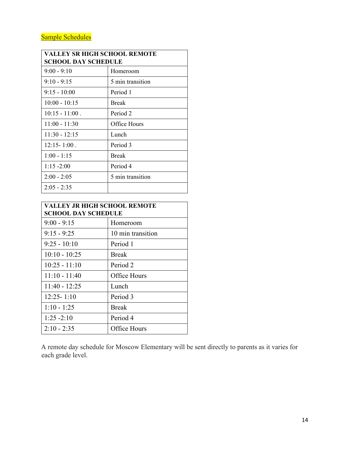| VALLEY SR HIGH SCHOOL REMOTE<br>SCHOOL DAY SCHEDULE |                  |  |
|-----------------------------------------------------|------------------|--|
| $9:00 - 9:10$                                       | Homeroom         |  |
| $9:10 - 9:15$                                       | 5 min transition |  |
| $9:15 - 10:00$                                      | Period 1         |  |
| $10:00 - 10:15$                                     | <b>Break</b>     |  |
| $10:15 - 11:00$ .                                   | Period 2         |  |
| $11:00 - 11:30$                                     | Office Hours     |  |
| $11:30 - 12:15$                                     | Lunch            |  |
| $12:15 - 1:00$ .                                    | Period 3         |  |
| $1:00 - 1:15$                                       | <b>Break</b>     |  |
| $1:15 - 2:00$                                       | Period 4         |  |
| $2:00 - 2:05$                                       | 5 min transition |  |
| $2:05 - 2:35$                                       |                  |  |

| VALLEY JR HIGH SCHOOL REMOTE<br><b>SCHOOL DAY SCHEDULE</b> |                   |
|------------------------------------------------------------|-------------------|
| $9:00 - 9:15$                                              | Homeroom          |
| $9:15 - 9:25$                                              | 10 min transition |
| $9:25 - 10:10$                                             | Period 1          |
| $10:10 - 10:25$                                            | <b>Break</b>      |
| $10:25 - 11:10$                                            | Period 2          |
| $11:10 - 11:40$                                            | Office Hours      |
| $11:40 - 12:25$                                            | Lunch             |
| $12:25 - 1:10$                                             | Period 3          |
| $1:10 - 1:25$                                              | <b>Break</b>      |
| $1:25 - 2:10$                                              | Period 4          |
| $2:10 - 2:35$                                              | Office Hours      |

A remote day schedule for Moscow Elementary will be sent directly to parents as it varies for each grade level.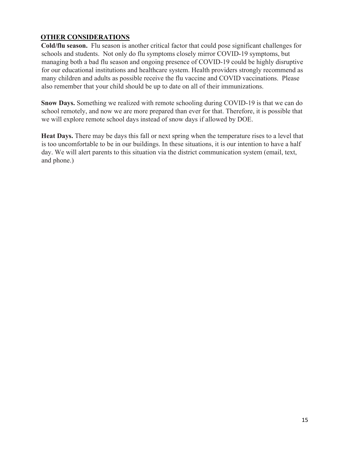## <span id="page-14-0"></span>**OTHER CONSIDERATIONS**

**Cold/flu season.** Flu season is another critical factor that could pose significant challenges for schools and students. Not only do flu symptoms closely mirror COVID-19 symptoms, but managing both a bad flu season and ongoing presence of COVID-19 could be highly disruptive for our educational institutions and healthcare system. Health providers strongly recommend as many children and adults as possible receive the flu vaccine and COVID vaccinations. Please also remember that your child should be up to date on all of their immunizations.

**Snow Days.** Something we realized with remote schooling during COVID-19 is that we can do school remotely, and now we are more prepared than ever for that. Therefore, it is possible that we will explore remote school days instead of snow days if allowed by DOE.

**Heat Days.** There may be days this fall or next spring when the temperature rises to a level that is too uncomfortable to be in our buildings. In these situations, it is our intention to have a half day. We will alert parents to this situation via the district communication system (email, text, and phone.)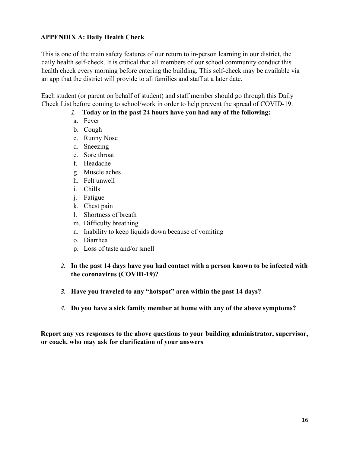#### <span id="page-15-0"></span>**APPENDIX A: Daily Health Check**

This is one of the main safety features of our return to in-person learning in our district, the daily health self-check. It is critical that all members of our school community conduct this health check every morning before entering the building. This self-check may be available via an app that the district will provide to all families and staff at a later date.

Each student (or parent on behalf of student) and staff member should go through this Daily Check List before coming to school/work in order to help prevent the spread of COVID-19.

### *1.* **Today or in the past 24 hours have you had any of the following:**

- a. Fever
- b. Cough
- c. Runny Nose
- d. Sneezing
- e. Sore throat
- f. Headache
- g. Muscle aches
- h. Felt unwell
- i. Chills
- j. Fatigue
- k. Chest pain
- l. Shortness of breath
- m. Difficulty breathing
- n. Inability to keep liquids down because of vomiting
- o. Diarrhea
- p. Loss of taste and/or smell

## *2.* **In the past 14 days have you had contact with a person known to be infected with the coronavirus (COVID-19)?**

- *3.* **Have you traveled to any "hotspot" area within the past 14 days?**
- *4.* **Do you have a sick family member at home with any of the above symptoms?**

**Report any yes responses to the above questions to your building administrator, supervisor, or coach, who may ask for clarification of your answers**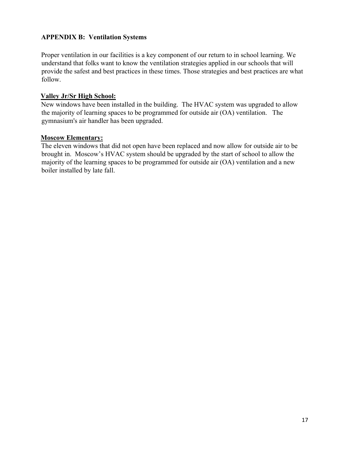### **APPENDIX B: Ventilation Systems**

Proper ventilation in our facilities is a key component of our return to in school learning. We understand that folks want to know the ventilation strategies applied in our schools that will provide the safest and best practices in these times. Those strategies and best practices are what follow.

#### **Valley Jr/Sr High School:**

New windows have been installed in the building. The HVAC system was upgraded to allow the majority of learning spaces to be programmed for outside air (OA) ventilation. The gymnasium's air handler has been upgraded.

#### **Moscow Elementary:**

The eleven windows that did not open have been replaced and now allow for outside air to be brought in. Moscow's HVAC system should be upgraded by the start of school to allow the majority of the learning spaces to be programmed for outside air (OA) ventilation and a new boiler installed by late fall.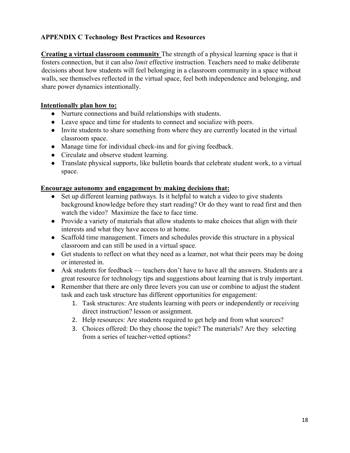## <span id="page-17-0"></span>**APPENDIX C Technology Best Practices and Resources**

**Creating a virtual classroom community** The strength of a physical learning space is that it fosters connection, but it can also *limit* effective instruction. Teachers need to make deliberate decisions about how students will feel belonging in a classroom community in a space without walls, see themselves reflected in the virtual space, feel both independence and belonging, and share power dynamics intentionally.

#### **Intentionally plan how to:**

- Nurture connections and build relationships with students.
- Leave space and time for students to connect and socialize with peers.
- Invite students to share something from where they are currently located in the virtual classroom space.
- Manage time for individual check-ins and for giving feedback.
- Circulate and observe student learning.
- Translate physical supports, like bulletin boards that celebrate student work, to a virtual space.

#### **Encourage autonomy and engagement by making decisions that:**

- Set up different learning pathways. Is it helpful to watch a video to give students background knowledge before they start reading? Or do they want to read first and then watch the video? Maximize the face to face time.
- Provide a variety of materials that allow students to make choices that align with their interests and what they have access to at home.
- Scaffold time management. Timers and schedules provide this structure in a physical classroom and can still be used in a virtual space.
- Get students to reflect on what they need as a learner, not what their peers may be doing or interested in.
- $\bullet$  Ask students for feedback teachers don't have to have all the answers. Students are a great resource for technology tips and suggestions about learning that is truly important.
- Remember that there are only three levers you can use or combine to adjust the student task and each task structure has different opportunities for engagement:
	- 1. Task structures: Are students learning with peers or independently or receiving direct instruction? lesson or assignment.
	- 2. Help resources: Are students required to get help and from what sources?
	- 3. Choices offered: Do they choose the topic? The materials? Are they selecting from a series of teacher-vetted options?